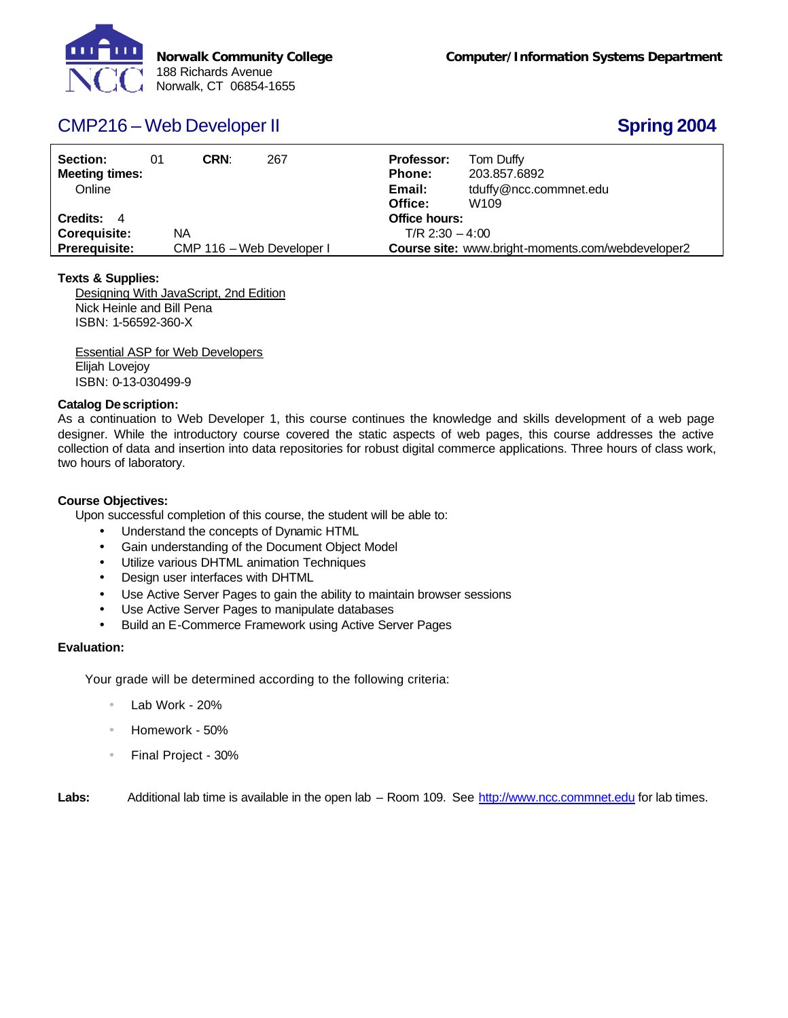

# CMP216 – Web Developer II **Spring 2004**

| Section:<br><b>Meeting times:</b><br>Online | 01 | CRN:                      | 267 | <b>Professor:</b><br><b>Phone:</b><br>Email:<br>Office: |                                                          | Tom Duffy<br>203.857.6892<br>tduffy@ncc.commnet.edu<br>W <sub>109</sub> |  |
|---------------------------------------------|----|---------------------------|-----|---------------------------------------------------------|----------------------------------------------------------|-------------------------------------------------------------------------|--|
| Credits: 4                                  |    |                           |     |                                                         | Office hours:                                            |                                                                         |  |
| <b>Coreguisite:</b>                         |    | NA                        |     | $T/R$ 2:30 $-4:00$                                      |                                                          |                                                                         |  |
| <b>Prerequisite:</b>                        |    | CMP 116 - Web Developer I |     |                                                         | <b>Course site:</b> www.bright-moments.com/webdeveloper2 |                                                                         |  |

### **Texts & Supplies:**

Designing With JavaScript, 2nd Edition Nick Heinle and Bill Pena ISBN: 1-56592-360-X

Essential ASP for Web Developers Elijah Lovejoy ISBN: 0-13-030499-9

### **Catalog Description:**

As a continuation to Web Developer 1, this course continues the knowledge and skills development of a web page designer. While the introductory course covered the static aspects of web pages, this course addresses the active collection of data and insertion into data repositories for robust digital commerce applications. Three hours of class work, two hours of laboratory.

## **Course Objectives:**

Upon successful completion of this course, the student will be able to:

- Understand the concepts of Dynamic HTML
- Gain understanding of the Document Object Model
- Utilize various DHTML animation Techniques
- Design user interfaces with DHTML
- Use Active Server Pages to gain the ability to maintain browser sessions
- Use Active Server Pages to manipulate databases
- Build an E-Commerce Framework using Active Server Pages

### **Evaluation:**

Your grade will be determined according to the following criteria:

- Lab Work 20%
- Homework 50%
- Final Project 30%

Labs: Additional lab time is available in the open lab – Room 109. See http://www.ncc.commnet.edu for lab times.